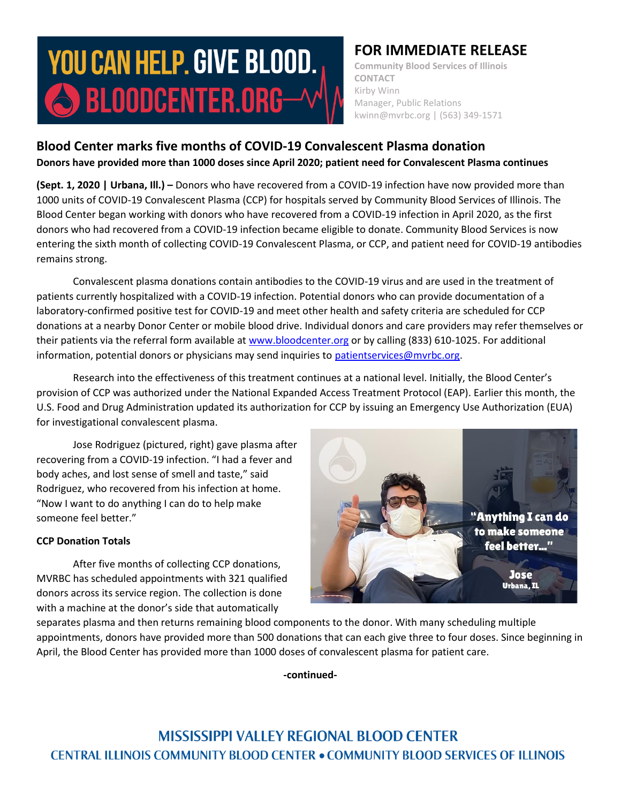# **YOU CAN HELP. GIVE BLOOD.** SBLOODCENTER.ORG-^

## **FOR IMMEDIATE RELEASE**

**Community Blood Services of Illinois CONTACT** Kirby Winn Manager, Public Relations kwinn@mvrbc.org | (563) 349-1571

## **Blood Center marks five months of COVID-19 Convalescent Plasma donation Donors have provided more than 1000 doses since April 2020; patient need for Convalescent Plasma continues**

**(Sept. 1, 2020 | Urbana, Ill.) –** Donors who have recovered from a COVID-19 infection have now provided more than 1000 units of COVID-19 Convalescent Plasma (CCP) for hospitals served by Community Blood Services of Illinois. The Blood Center began working with donors who have recovered from a COVID-19 infection in April 2020, as the first donors who had recovered from a COVID-19 infection became eligible to donate. Community Blood Services is now entering the sixth month of collecting COVID-19 Convalescent Plasma, or CCP, and patient need for COVID-19 antibodies remains strong.

Convalescent plasma donations contain antibodies to the COVID-19 virus and are used in the treatment of patients currently hospitalized with a COVID-19 infection. Potential donors who can provide documentation of a laboratory-confirmed positive test for COVID-19 and meet other health and safety criteria are scheduled for CCP donations at a nearby Donor Center or mobile blood drive. Individual donors and care providers may refer themselves or their patients via the referral form available at [www.bloodcenter.org](http://www.bloodcenter.org/) or by calling (833) 610-1025. For additional information, potential donors or physicians may send inquiries to [patientservices@mvrbc.org.](mailto:patientservices@mvrbc.org)

Research into the effectiveness of this treatment continues at a national level. Initially, the Blood Center's provision of CCP was authorized under the National Expanded Access Treatment Protocol (EAP). Earlier this month, the U.S. Food and Drug Administration updated its authorization for CCP by issuing an Emergency Use Authorization (EUA) for investigational convalescent plasma.

Jose Rodriguez (pictured, right) gave plasma after recovering from a COVID-19 infection. "I had a fever and body aches, and lost sense of smell and taste," said Rodriguez, who recovered from his infection at home. "Now I want to do anything I can do to help make someone feel better."

### **CCP Donation Totals**

After five months of collecting CCP donations, MVRBC has scheduled appointments with 321 qualified donors across its service region. The collection is done with a machine at the donor's side that automatically



separates plasma and then returns remaining blood components to the donor. With many scheduling multiple appointments, donors have provided more than 500 donations that can each give three to four doses. Since beginning in April, the Blood Center has provided more than 1000 doses of convalescent plasma for patient care.

**-continued-**